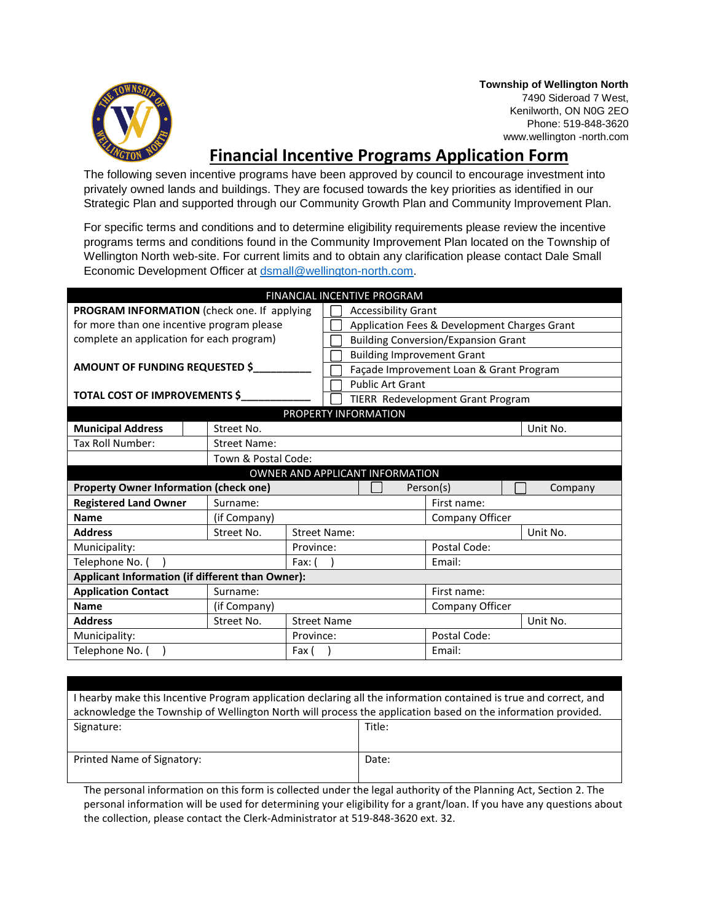

**Township of Wellington North** 7490 Sideroad 7 West, Kenilworth, ON N0G 2EO Phone: 519-848-3620 www.wellington -north.com

## **Financial Incentive Programs Application Form**

The following seven incentive programs have been approved by council to encourage investment into privately owned lands and buildings. They are focused towards the key priorities as identified in our Strategic Plan and supported through our Community Growth Plan and Community Improvement Plan.

For specific terms and conditions and to determine eligibility requirements please review the incentive programs terms and conditions found in the Community Improvement Plan located on the Township of Wellington North web-site. For current limits and to obtain any clarification please contact Dale Small Economic Development Officer at [dsmall@wellington-north.com.](mailto:dsmall@wellington-north.com)

| FINANCIAL INCENTIVE PROGRAM                      |  |                     |                     |                                              |                      |                 |          |  |  |
|--------------------------------------------------|--|---------------------|---------------------|----------------------------------------------|----------------------|-----------------|----------|--|--|
| PROGRAM INFORMATION (check one. If applying      |  |                     |                     | <b>Accessibility Grant</b>                   |                      |                 |          |  |  |
| for more than one incentive program please       |  |                     |                     | Application Fees & Development Charges Grant |                      |                 |          |  |  |
| complete an application for each program)        |  |                     |                     | <b>Building Conversion/Expansion Grant</b>   |                      |                 |          |  |  |
|                                                  |  |                     |                     | <b>Building Improvement Grant</b>            |                      |                 |          |  |  |
| AMOUNT OF FUNDING REQUESTED \$                   |  |                     |                     | Façade Improvement Loan & Grant Program      |                      |                 |          |  |  |
|                                                  |  |                     |                     | <b>Public Art Grant</b>                      |                      |                 |          |  |  |
| TOTAL COST OF IMPROVEMENTS \$                    |  |                     |                     | TIERR Redevelopment Grant Program            |                      |                 |          |  |  |
|                                                  |  |                     |                     |                                              | PROPERTY INFORMATION |                 |          |  |  |
| <b>Municipal Address</b>                         |  | Street No.          |                     |                                              |                      |                 | Unit No. |  |  |
| Tax Roll Number:                                 |  | <b>Street Name:</b> |                     |                                              |                      |                 |          |  |  |
|                                                  |  | Town & Postal Code: |                     |                                              |                      |                 |          |  |  |
| OWNER AND APPLICANT INFORMATION                  |  |                     |                     |                                              |                      |                 |          |  |  |
|                                                  |  |                     |                     |                                              |                      |                 |          |  |  |
| <b>Property Owner Information (check one)</b>    |  |                     |                     |                                              |                      | Person(s)       | Company  |  |  |
| <b>Registered Land Owner</b>                     |  | Surname:            |                     |                                              |                      | First name:     |          |  |  |
| <b>Name</b>                                      |  | (if Company)        |                     |                                              |                      | Company Officer |          |  |  |
| <b>Address</b>                                   |  | Street No.          | <b>Street Name:</b> |                                              |                      |                 | Unit No. |  |  |
| Municipality:                                    |  |                     | Province:           |                                              |                      | Postal Code:    |          |  |  |
| Telephone No. (                                  |  |                     | Fax:                |                                              |                      | Email:          |          |  |  |
| Applicant Information (if different than Owner): |  |                     |                     |                                              |                      |                 |          |  |  |
| <b>Application Contact</b>                       |  | Surname:            |                     |                                              |                      | First name:     |          |  |  |
| <b>Name</b>                                      |  | (if Company)        |                     |                                              |                      | Company Officer |          |  |  |
| <b>Address</b>                                   |  | Street No.          | <b>Street Name</b>  |                                              |                      |                 | Unit No. |  |  |
| Municipality:                                    |  |                     | Province:           |                                              |                      | Postal Code:    |          |  |  |
| Telephone No. (                                  |  |                     | Fax (               |                                              |                      | Email:          |          |  |  |

| I hearby make this Incentive Program application declaring all the information contained is true and correct, and |        |  |  |  |  |
|-------------------------------------------------------------------------------------------------------------------|--------|--|--|--|--|
| acknowledge the Township of Wellington North will process the application based on the information provided.      |        |  |  |  |  |
| Signature:                                                                                                        | Title: |  |  |  |  |
|                                                                                                                   |        |  |  |  |  |
| Printed Name of Signatory:                                                                                        | Date:  |  |  |  |  |
|                                                                                                                   |        |  |  |  |  |

The personal information on this form is collected under the legal authority of the Planning Act, Section 2. The personal information will be used for determining your eligibility for a grant/loan. If you have any questions about the collection, please contact the Clerk-Administrator at 519-848-3620 ext. 32.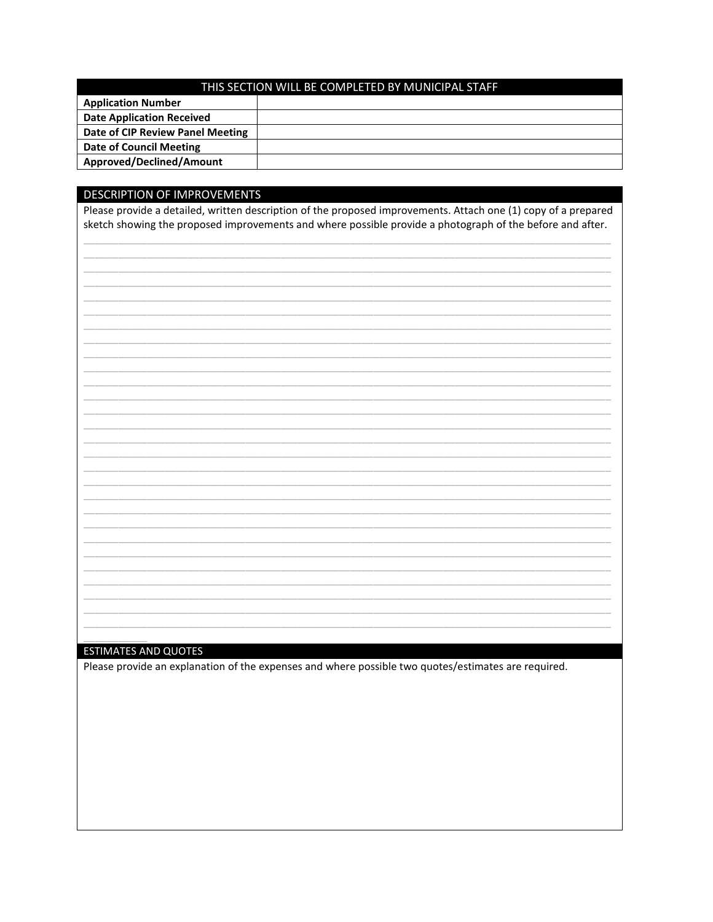| THIS SECTION WILL BE COMPLETED BY MUNICIPAL STAFF |  |  |  |  |  |
|---------------------------------------------------|--|--|--|--|--|
| <b>Application Number</b>                         |  |  |  |  |  |
| <b>Date Application Received</b>                  |  |  |  |  |  |
| Date of CIP Review Panel Meeting                  |  |  |  |  |  |
| Date of Council Meeting                           |  |  |  |  |  |
| Approved/Declined/Amount                          |  |  |  |  |  |

## DESCRIPTION OF IMPROVEMENTS

Please provide a detailed, written description of the proposed improvements. Attach one (1) copy of a prepared sketch showing the proposed improvements and where possible provide a photograph of the before and after.

## **ESTIMATES AND QUOTES**

Please provide an explanation of the expenses and where possible two quotes/estimates are required.